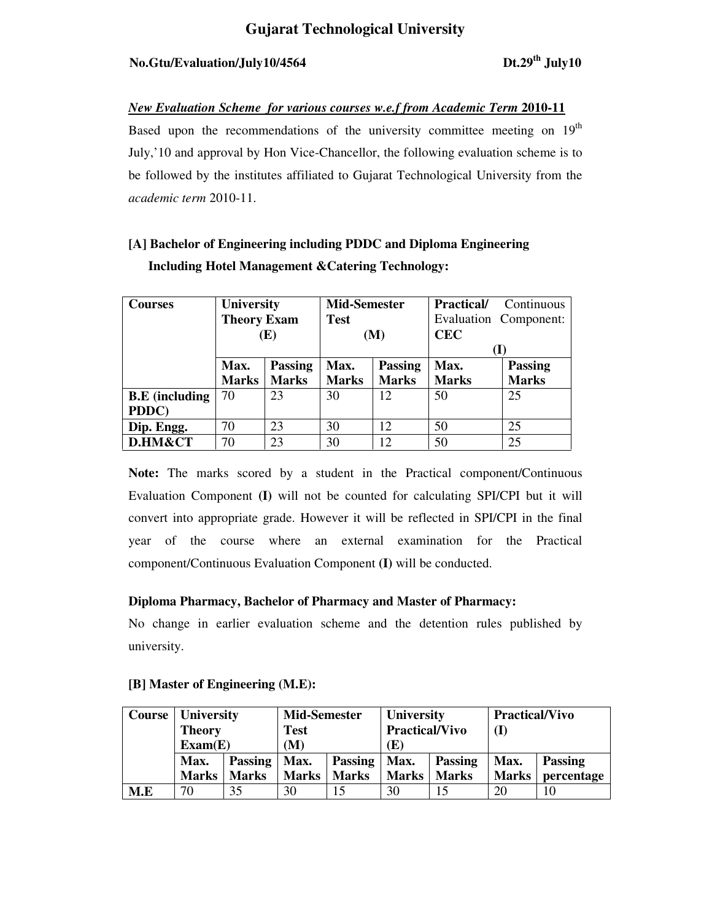# No.Gtu/Evaluation/July10/4564 Dt.29<sup>th</sup> July10

## *New Evaluation Scheme for various courses w.e.f from Academic Term 2010-11*

Based upon the recommendations of the university committee meeting on 19<sup>th</sup> July,'10 and approval by Hon Vice-Chancellor, the following evaluation scheme is to be followed by the institutes affiliated to Gujarat Technological University from the *academic term* 2010-11.

# **[A] Bachelor of Engineering including PDDC and Diploma Engineering Including Hotel Management &Catering Technology:**

| <b>Courses</b>        | <b>University</b>      |              | <b>Mid-Semester</b> |                | <b>Practical/</b>     | Continuous     |
|-----------------------|------------------------|--------------|---------------------|----------------|-----------------------|----------------|
|                       | <b>Theory Exam</b>     |              | <b>Test</b>         |                | Evaluation Component: |                |
|                       | (E)                    |              | (M)                 |                | <b>CEC</b>            |                |
|                       |                        |              |                     |                |                       |                |
|                       | <b>Passing</b><br>Max. |              | Max.                | <b>Passing</b> | Max.                  | <b>Passing</b> |
|                       | <b>Marks</b>           | <b>Marks</b> | <b>Marks</b>        | <b>Marks</b>   | <b>Marks</b>          | <b>Marks</b>   |
| <b>B.E</b> (including | 70                     | 23           | 30                  | 12             | 50                    | 25             |
| PDDC)                 |                        |              |                     |                |                       |                |
| Dip. Engg.            | 70                     | 23           | 30                  | 12             | 50                    | 25             |
| D.HM&CT               | 70                     | 23           | 30                  | 12             | 50                    | 25             |

**Note:** The marks scored by a student in the Practical component/Continuous Evaluation Component **(I)** will not be counted for calculating SPI/CPI but it will convert into appropriate grade. However it will be reflected in SPI/CPI in the final year of the course where an external examination for the Practical component/Continuous Evaluation Component **(I)** will be conducted.

## **Diploma Pharmacy, Bachelor of Pharmacy and Master of Pharmacy:**

No change in earlier evaluation scheme and the detention rules published by university.

| Course | <b>University</b><br><b>Theory</b><br>Exam(E) |                | <b>Mid-Semester</b><br>Test<br>(M) |                | <b>University</b><br><b>Practical/Vivo</b><br>(E) |                | <b>Practical/Vivo</b><br>(I) |            |
|--------|-----------------------------------------------|----------------|------------------------------------|----------------|---------------------------------------------------|----------------|------------------------------|------------|
|        | Max.                                          | <b>Passing</b> | Max.                               | <b>Passing</b> | Max.                                              | <b>Passing</b> | Max.                         | Passing    |
|        | <b>Marks</b>                                  | <b>Marks</b>   | <b>Marks</b>                       | <b>Marks</b>   | <b>Marks</b>                                      | <b>Marks</b>   | <b>Marks</b>                 | percentage |
| M.E    | 70                                            | 35             | 30                                 |                | 30                                                |                | 20                           |            |

## **[B] Master of Engineering (M.E):**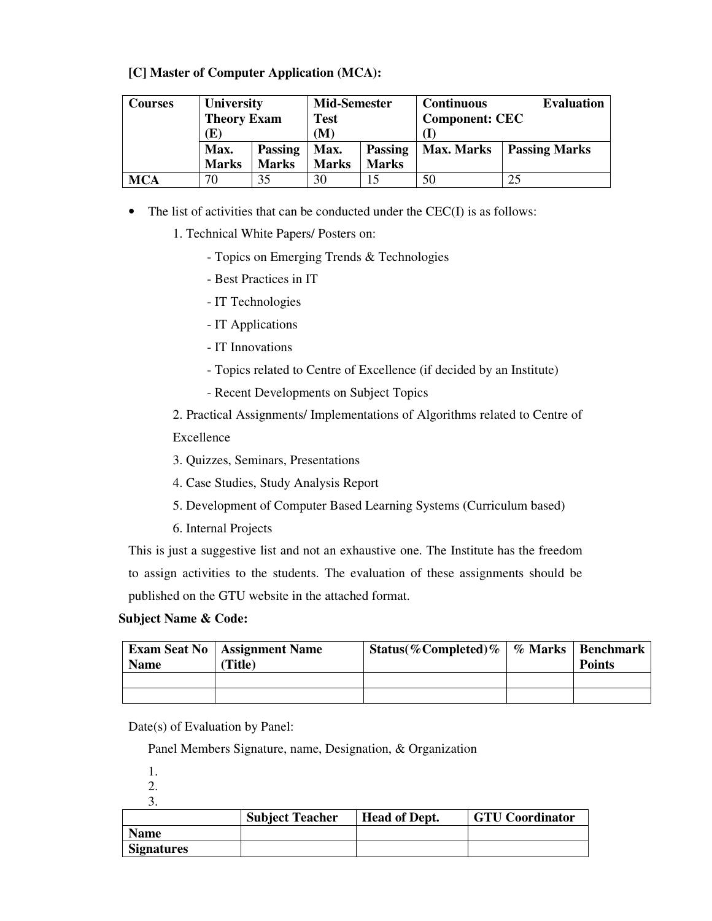### **[C] Master of Computer Application (MCA):**

| Courses | <b>University</b>      |              | <b>Mid-Semester</b> |                | <b>Continuous</b>     | <b>Evaluation</b>    |
|---------|------------------------|--------------|---------------------|----------------|-----------------------|----------------------|
|         | <b>Theory Exam</b>     |              | <b>Test</b>         |                | <b>Component: CEC</b> |                      |
|         | $(\mathbf{E})$         |              | (M)                 |                |                       |                      |
|         | Max.<br><b>Passing</b> |              | Max.                | <b>Passing</b> | <b>Max. Marks</b>     | <b>Passing Marks</b> |
|         | <b>Marks</b>           | <b>Marks</b> | <b>Marks</b>        | <b>Marks</b>   |                       |                      |
| MCA     | 70                     | 35           | 30                  | 15             | 50                    | 25                   |

- The list of activities that can be conducted under the CEC(I) is as follows:
	- 1. Technical White Papers/ Posters on:
		- Topics on Emerging Trends & Technologies
		- Best Practices in IT
		- IT Technologies
		- IT Applications
		- IT Innovations
		- Topics related to Centre of Excellence (if decided by an Institute)
		- Recent Developments on Subject Topics

2. Practical Assignments/ Implementations of Algorithms related to Centre of Excellence

- 3. Quizzes, Seminars, Presentations
- 4. Case Studies, Study Analysis Report
- 5. Development of Computer Based Learning Systems (Curriculum based)
- 6. Internal Projects

This is just a suggestive list and not an exhaustive one. The Institute has the freedom to assign activities to the students. The evaluation of these assignments should be published on the GTU website in the attached format.

#### **Subject Name & Code:**

| <b>Name</b> | <b>Exam Seat No</b>   Assignment Name<br>Title) | Status(%Completed)%   % Marks   Benchmark | <b>Points</b> |
|-------------|-------------------------------------------------|-------------------------------------------|---------------|
|             |                                                 |                                           |               |
|             |                                                 |                                           |               |

Date(s) of Evaluation by Panel:

Panel Members Signature, name, Designation, & Organization

1.

2.

3.

|                   | <b>Subject Teacher</b> | <b>Head of Dept.</b> | <b>GTU Coordinator</b> |
|-------------------|------------------------|----------------------|------------------------|
| <b>Name</b>       |                        |                      |                        |
| <b>Signatures</b> |                        |                      |                        |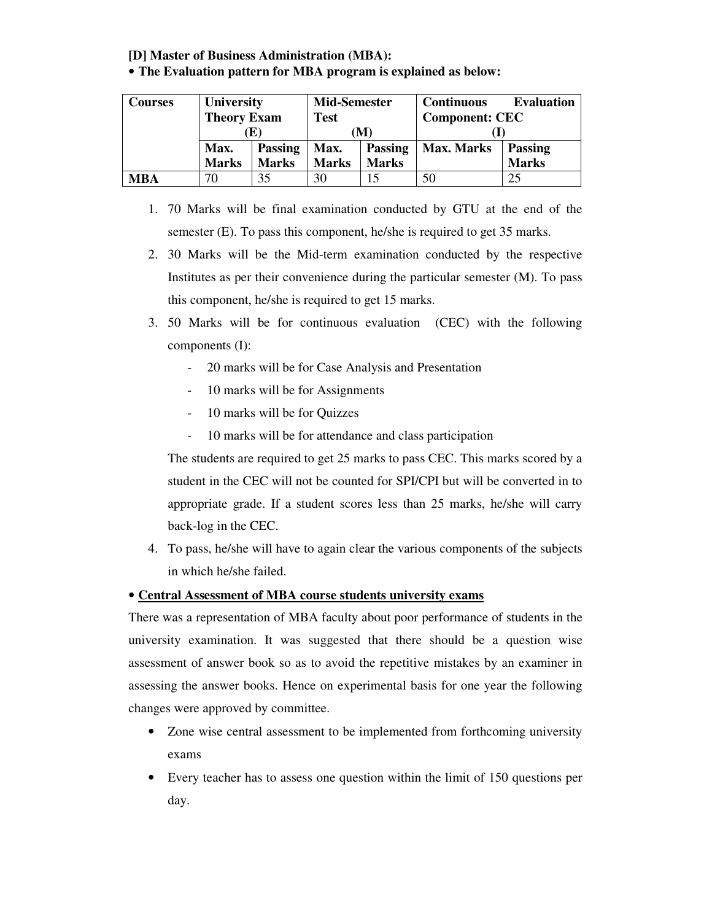# **[D] Master of Business Administration (MBA):**

#### • **The Evaluation pattern for MBA program is explained as below:**

| <b>Courses</b> | <b>University</b>      |              | <b>Mid-Semester</b> |                | <b>Continuous</b>     | <b>Evaluation</b> |
|----------------|------------------------|--------------|---------------------|----------------|-----------------------|-------------------|
|                | <b>Theory Exam</b>     |              | <b>Test</b>         |                | <b>Component: CEC</b> |                   |
|                | Œ                      |              | M                   |                |                       |                   |
|                | Max.<br><b>Passing</b> |              | Max.                | <b>Passing</b> | <b>Max. Marks</b>     | <b>Passing</b>    |
|                | <b>Marks</b>           | <b>Marks</b> | <b>Marks</b>        | <b>Marks</b>   |                       | <b>Marks</b>      |
| <b>MBA</b>     | 70                     | 35           | 30                  |                | 50                    | 25                |

- 1. 70 Marks will be final examination conducted by GTU at the end of the semester (E). To pass this component, he/she is required to get 35 marks.
- 2. 30 Marks will be the Mid-term examination conducted by the respective Institutes as per their convenience during the particular semester (M). To pass this component, he/she is required to get 15 marks.
- 3. 50 Marks will be for continuous evaluation (CEC) with the following components (I):
	- 20 marks will be for Case Analysis and Presentation
	- 10 marks will be for Assignments
	- 10 marks will be for Quizzes
	- 10 marks will be for attendance and class participation

The students are required to get 25 marks to pass CEC. This marks scored by a student in the CEC will not be counted for SPI/CPI but will be converted in to appropriate grade. If a student scores less than 25 marks, he/she will carry back-log in the CEC.

4. To pass, he/she will have to again clear the various components of the subjects in which he/she failed.

# • **Central Assessment of MBA course students university exams**

There was a representation of MBA faculty about poor performance of students in the university examination. It was suggested that there should be a question wise assessment of answer book so as to avoid the repetitive mistakes by an examiner in assessing the answer books. Hence on experimental basis for one year the following changes were approved by committee.

- Zone wise central assessment to be implemented from forthcoming university exams
- Every teacher has to assess one question within the limit of 150 questions per day.